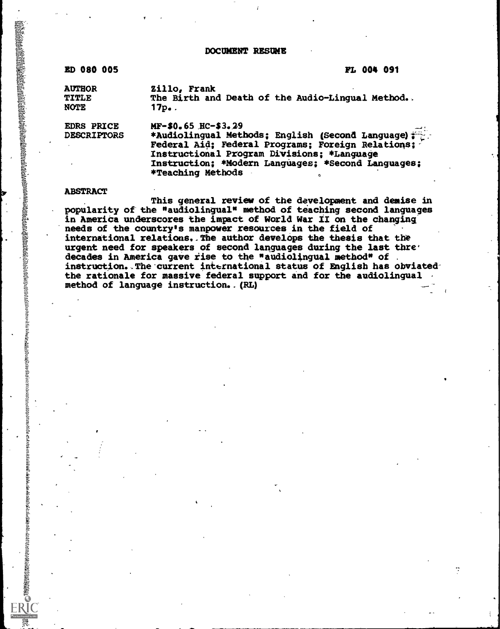DOCUMENT RESUME

#### ED 080 005 FL 004 091

AUTHOR 2illo, Frank<br>TITLE The Birth and TITLE The Birth and Death of the Audio-Lingual Method...<br>NOTE 17p.  $17p.$ 

EDRS PRICE MF-\$0.65 HC-\$3.29<br>DESCRIPTORS \*Audiolingual Meth \*Audiolingual Methods; English (Second Language)  $f$ 

Federal Aid; Federal Programs; Foreign Relations; Instructional Program Divisions; \*Language Instruction; \*Modern Languages; \*Second Languages; \*Teaching Methods

#### ABSTRACT

な状態は、それは、そのように、そのように、そのように、そのように、そのように、そのように、そのように、そのように、そのように、そのように、そのようには、そのように、このように、このように、このように、そのように、このように、そのように、このように、このように、このように、このように、このように、このように、このように、このように、このように、このように、このように、このように、このように、このように、このように、このように、このように

This general review of the development and demise in popularity of the "audiolingual" method of teaching second languages in America underscores the impact of World War II on the changing needs of the country's manpower resources in the field of international relations. The author develops the thesis that the urgent need for speakers of second languages during the last thre $\cdot$ decades in America gave rise to the "audiolingual method" of instruction. The current international status of English has obviatedthe rationale for massive federal support and for the audiolingual method of language instruction. (RL)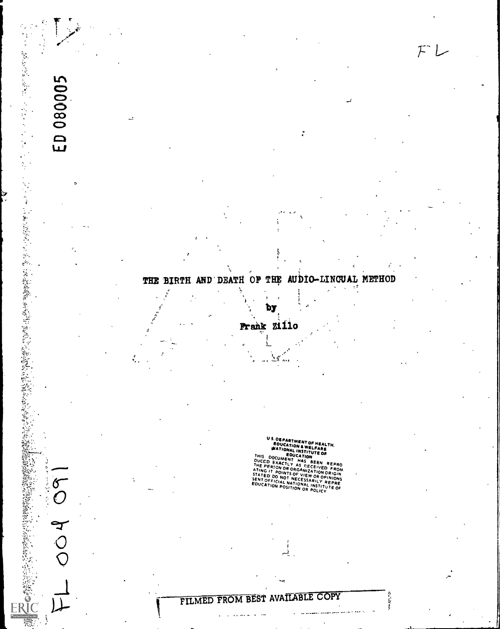## THE BIRTH AND DEATH OF THE AUDIO-LINGUAL METHOD

Î,

 $F L$ 

医心包 医阿里克斯氏病 医心脏性 医心脏

 $\left\langle \cdot \right\rangle$ 

 $\frac{9}{3}$ 

17.4 1.5 25%以下的。又将发展的发展的发展的发展。2012年12月24日, 2013年12月12日, 2014年12月22日, 2014年12月22日, 2014年12月22日, 2014年

 $\delta$ 

000

Ą

ED 080005

### Prank Zillo

Ã.

់  $\cdots$ 

1)y,

**US DEPARTMENT OF HEALTH,<br>
EDUCATION A WELFARE<br>
THIS DOCUMENT HAS BEEN REPRO<br>
THIS DOCUMENT HAS BEEN REPRO<br>
DUCCD EXACTLY AS BEEN REPRO<br>
THE PERION OR ORGANIZATION ORIGIN<br>
STATED DO NOT NECESSARILY A STATED DO NOT NECESSAR EDUCATION POSITION OR POLICY** 

÷.

计打击

# PILMED FROM BEST AVAILABLE COPY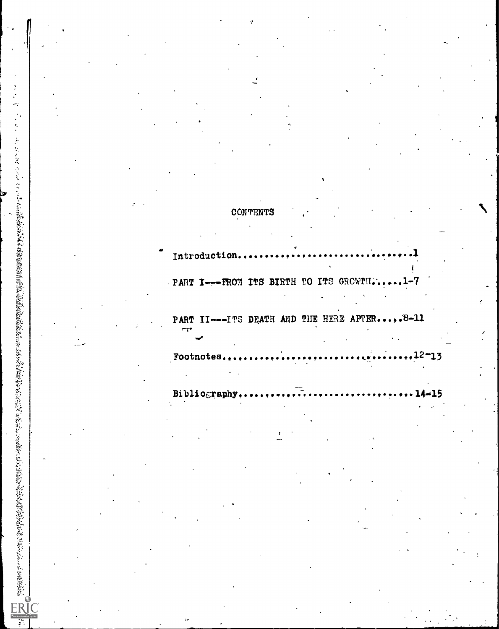|           |                     | y.                                           |  |     |  |
|-----------|---------------------|----------------------------------------------|--|-----|--|
|           |                     |                                              |  |     |  |
|           |                     |                                              |  |     |  |
|           |                     |                                              |  |     |  |
|           |                     |                                              |  |     |  |
|           |                     |                                              |  |     |  |
|           |                     |                                              |  |     |  |
|           |                     |                                              |  |     |  |
|           |                     |                                              |  |     |  |
|           |                     |                                              |  |     |  |
|           |                     |                                              |  |     |  |
|           |                     |                                              |  |     |  |
|           |                     | CONTENTS                                     |  |     |  |
|           |                     |                                              |  |     |  |
|           |                     |                                              |  |     |  |
|           |                     | Introduction                                 |  |     |  |
|           |                     |                                              |  |     |  |
|           |                     | . PART I--- FROM ITS BIRTH TO ITS GROWTH.    |  |     |  |
|           |                     |                                              |  |     |  |
|           |                     |                                              |  |     |  |
|           | $\tau$              | PART II---ITS DEATH AND THE HERE AFTER,.8-11 |  |     |  |
|           |                     |                                              |  |     |  |
|           |                     | Footnotes                                    |  | 13  |  |
|           |                     |                                              |  |     |  |
|           |                     |                                              |  |     |  |
|           |                     | Bibliography                                 |  | -15 |  |
|           |                     |                                              |  |     |  |
|           |                     |                                              |  |     |  |
|           |                     |                                              |  |     |  |
| $\bullet$ |                     |                                              |  |     |  |
|           |                     |                                              |  |     |  |
|           |                     |                                              |  |     |  |
|           |                     |                                              |  |     |  |
|           |                     |                                              |  |     |  |
|           |                     |                                              |  |     |  |
|           |                     |                                              |  |     |  |
|           |                     |                                              |  |     |  |
|           |                     |                                              |  |     |  |
|           |                     |                                              |  |     |  |
|           |                     |                                              |  |     |  |
|           | $\mathcal{H}^{\pm}$ |                                              |  |     |  |

 $\ddot{\phantom{1}}$ 

Э

 $\vec{r}$ 

 $\frac{1}{\sqrt{2}}$ 

J

ł

 $\boldsymbol{s}$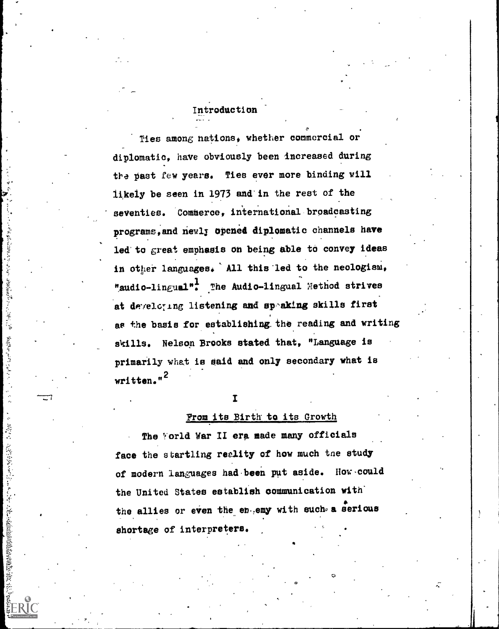#### Introduction

Ties among nations, whether commercial or diplomatic, have obviously been increased during the past few years. Ties ever more binding will likely be seen in 1973 and in the rest of the seventies. Commerce, international broadcasting programs, and newly opened diplomatic channels have led to great emphasis on being able to convey ideas in other languages. All this led to the neologism, "audio-lingual". The Audio-lingual Method strives at developing listening and speaking skills first as the basis for establishing the reading and writing skills. Nelson Brooks stated that, "Language is primarily what is said and only secondary what is written."<sup>2</sup>

#### $\mathbf{I}$

あわれることにもあるとも、そのことをすることに、そのに、や

**Contract Contract Contract Contract Contract Contract Contract Contract Contract Contract Contract Contract Contract Contract Contract Contract Contract Contract Contract Contract Contract Contract Contract Contract Contr** 

 $\frac{1}{2}$ 

 $\frac{1}{\alpha}$ 

UNITED STATES OF THE STATES OF THE STATES OF THE STATES OF THE STATES OF THE STATES OF THE STATES OF THE STATES OF THE STATES OF THE STATES OF THE STATES OF THE STATES OF THE STATES OF THE STATES OF THE STATES OF THE STATE

#### From its Birth to its Growth

The Yorld War II era made many officials face the startling reality of how much the study of modern languages had been put aside. How could the United States establish communication with the allies or even the engang with such a serious shortage of interpreters.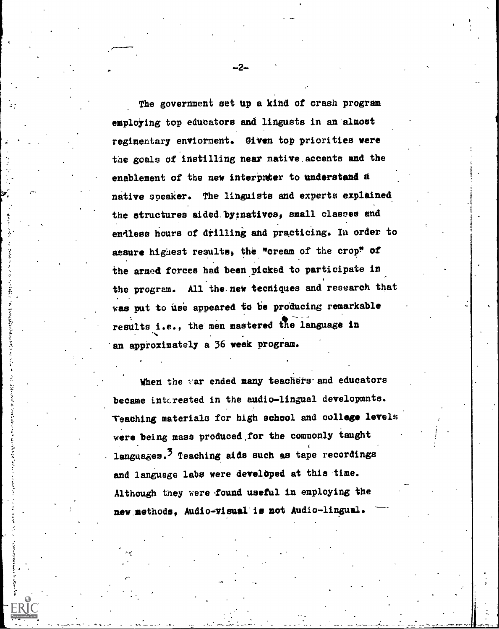The government set up a kind of crash program employing top educators and lingusts in an almost regimentary enviorment. giVen top priorities were the goals of instilling near native.accents and the enablement of the new interpreter to understand a native speaker. The linguists and experts explained the structures aided:by:natives, small classes and endless hours of drilling and practicing. In order to assure highest results, the "cream of the crop" of the armed forces had been picked to participate in the program. All the new tecniques and research that was put to use appeared to be producing remarkable results i.e., the men mastered the language in N an approximately a 36 week program.

When the var ended many teachers and educators became interested in the audio-lingual developmnts. Teaching materials for high school and college levels were being mass produced.for the commonly taught languages.<sup>3</sup> Teaching aids such as tape recordings and language labs were developed at this-time. Although they were found useful in employing the new methods, Audio-visual is not Audio-lingual.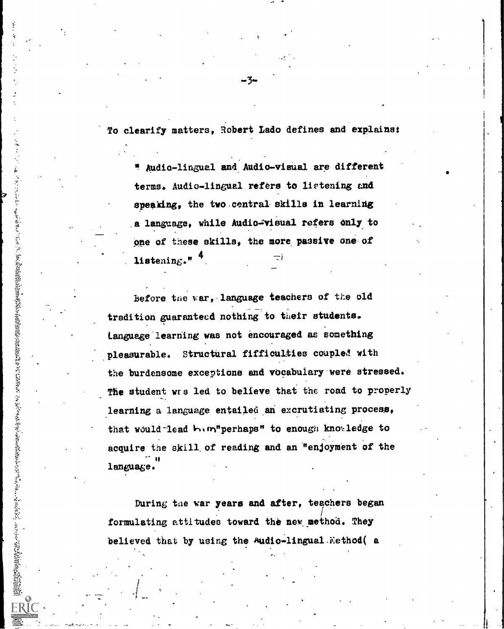To clearify matters, Robert Ledo defines and explains:

" Audio-lingual and Audio-visual are different terms. Audio-lingual refers to listening and speaking, the two central skills in learning a language, while Audio-visual refers only to one of these skills, the more passive one of listening." 4

before the var, language teachers of the old tradition guaranteed nothing to their students. Language-learning was not encouraged as something pleasurable. Structural fiffiaulties coupled with the burdensome exceptions and vocabulary-were stressed. The student wrs led to believe that the road to properly learning a language entailed an excrutiating process, that would lead  $\mathbf{h}_1 \mathbf{m}$ "perhaps" to enough knowledge to acquire the skill, of reading and an "enjoyment of the ii is a chomp in the second second in the second second second in the second second second in the second second second in  $\mathcal{L}_1$ language.

During the war years and after, teachers began formulating attitudes toward the new method. They believed that by using the Audio-lingual Method( a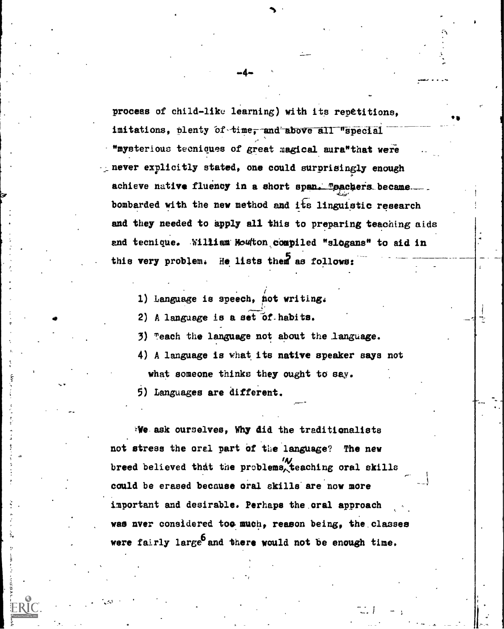process of child-like learning) with its repetitions, imitations, plenty of time, and above all "special "mysterious tecnioues of great magical aura"that were -.;never explicitly stated, one could surprisingly enough achieve native fluency in a short span. **"pachers became.** bombarded with the new method and its linguistic research and they needed to apply all this to preparing teaching aids and tecnique. William Moutton compiled "slogans" to aid in this very problem. He lists them as follows:

 $-4 \sim$   $\sim$ 

wank.... ..4

'SO

1) Language is speech, hot writing.

2) A language is a set of habits.

3) each the language not about the language.

4) A language is what its native speaker says not

what someone thinks they ought to say.

9) Languages are different.

We ask ourselves, Why did the traditionalists not stress the oral part of the language? The new /4/ breed believed that the problems teaching oral skills could be erased because oral skills are now more important and desirable. Perhaps the oral approach was nver considered too much, reason being, the classes were fairly large and there would not be enough time.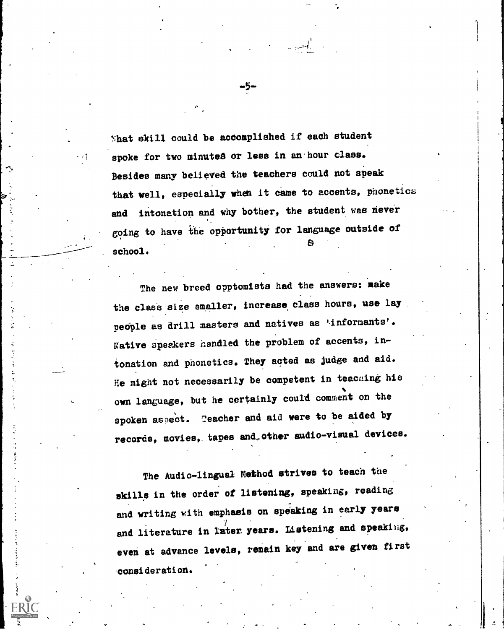'hat skill could be accomplished if each student spoke for two minutes or less in an hour class. Besides many believed the teachers could not speak that well, especially when it came to accents, phonetics and intonation and why bother, the student was never going to have the opportunity for language outside of 8 school:

The new breed opptomists had the answers: make the class size smaller, increase class hours, use lay people as drill masters and natives as 'informants'. Native speekers handled the problem of accents, intonation and phonetics. They acted as judge and aid. He might not necessarily be competent in teaching his own language, but he certainly could comment on the spoken aspect. Teacher and aid were to be aided by records, movies, tapes and other audio-visual devices.

The Audio-lingual Method strives to teach the skills in the order of listening, speaking, reading and writing with emphasis on speaking in early years and literature in later years. Listening and speaking, even at advance levels, remain key and are given first consideration.

.5.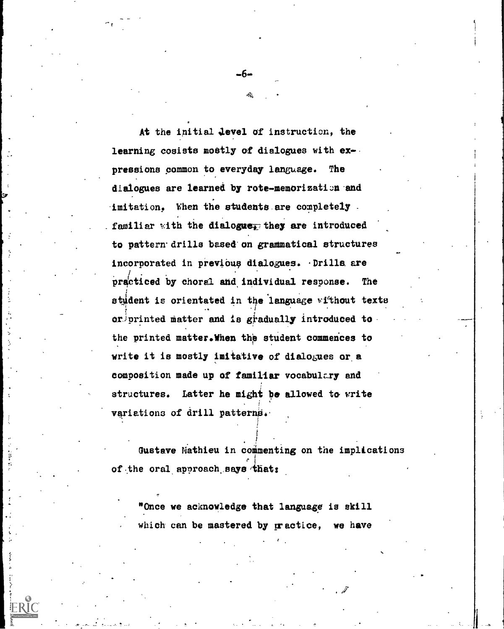At the initial Jewel of instruction, the learning cosists mostly of dialogues with ex-. pressions common to everyday language. The dialogues are learned by rote-memorization and imitation. When the students are completely familiar with the dialogue<sub> $\bar{4}$ </sub> they are introduced to pattern drills based'on grammatical structures incorporated in previous dialogues. Drills are practiced by choral and individual response. The student is orientated in the 'language without texts or printed matter and is gradually introduced to the printed matter.When the student commences to write it is mostly imitative of dialogues or a composition made up of familiar vocabulczy and structures. Latter he might be allowed to write variations of drill patterns.

-6-

Gustave Mathieu in commenting on the implications of the oral approach says that:

. ,

"Once we acknowledge that language is skill which can be mastered by practice, we have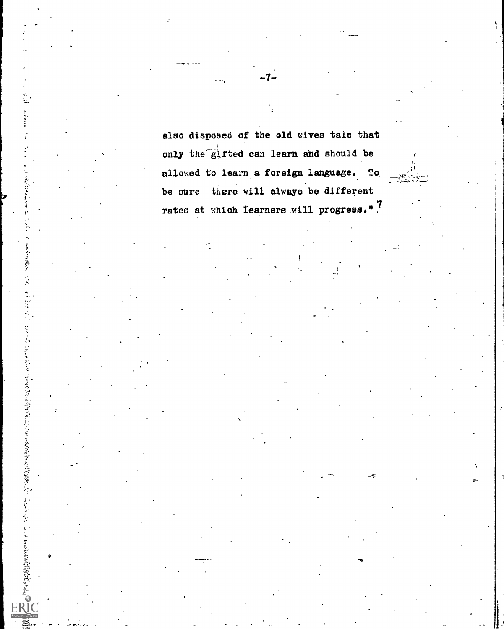also disposed of the old wives talc that only the  $\epsilon$  field can learn and should be allowed to learn a foreign language. To be sure there will always be different rates at which Iearners will progress." ?

Switchのスポロンボハイングすると言うことは「SWAS した」ということです。 しょうりょう Contest かんこうげんしょう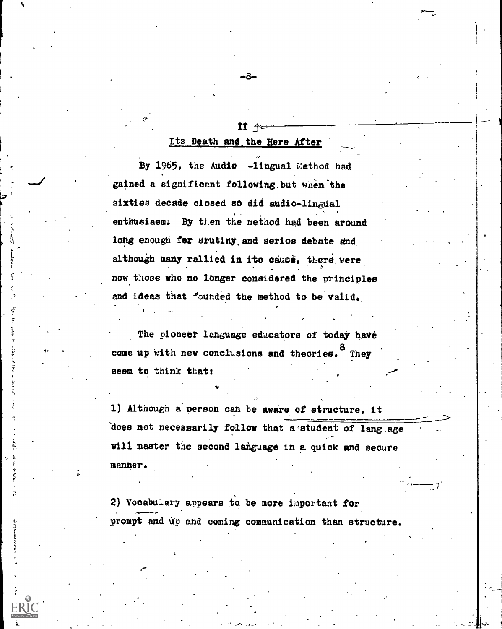#### Its Death and\_ the Here After

 $11 -$ 

 $-B-$ 

 $\sigma$   $\sim$ 

By 1965, the Audio -lingual Method had gained a significant following but when the sixties decade closed so did audio- $lingual$ enthusiasm. By then the method had been around long enough for srutiny and serios debate and although many rallied in its cause, there were now those who no longer considered the principles and ideas that founded the method to be valid.

The pioneer language educators of today have come up with new conclusions and theories. They seem to think that:

1) Although a person can be aware of structure, it does not necessarily follow that a student of lang .age will master the second language in a quick and secure manner.

2) Vocabulary appears to be more important for prompt and up and coming communication than structure.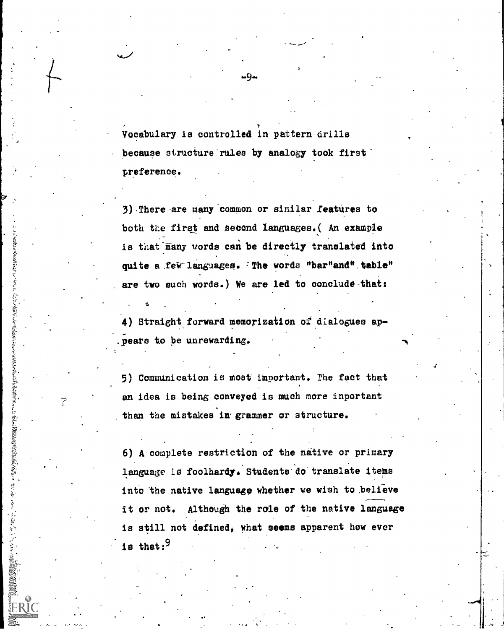Vocabulary is controlled in pattern drills because structure rules by analogy took firstpreference.

.9.

3) There are many common or similar features to both the first and second languages.( An example is that many words can be directly translated into quite a few languages. The words "bar"and" table" are two each words.) We are led to conclude-that:

あおというとはないという

A THE PARTIES OF PARTIES OF THE ASSESSMENT OF THE ALGEBRA CHARGES OF THE ALGEBRA CHARGES OF THE ALGEBRA CHARGES OF THE ALGEBRA CHARGES OF THE ALGEBRA CHARGES OF THE ALGEBRA CHARGES OF THE ALGEBRA CHARGES OF THE ALGEBRA CHA

7--

4) Straight forward memorization of dialogues appears to be unrewarding.

5) Communication is most' important. The fact that an idea is being conveyed is much more inportant than the mistakes in grammer or structure.

6) A complete restriction of the native or primary language is foolhardy. Students do translate items into the native language whether we wish to believe it or not. Although the role of the native language is still not defined, what seems apparent how ever is that: $9$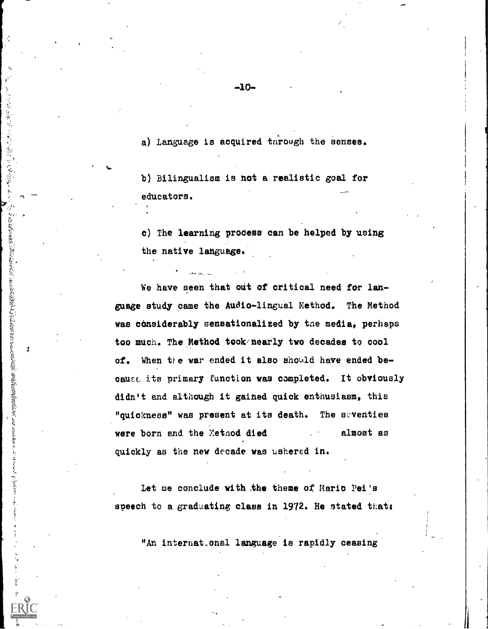a) Language is acquired through the senses.

b) Bilingualism is not a realistic goal for educators.

,r

¥Î

等人不能 法裁判人 医大叶高血管大型血管

 $\begin{array}{c} \frac{1}{2} \end{array}$ 

wy and the state of the state of the state of the state of the state of the state of the state of the state of

c) The learning process can be helped by using the native language.

We have seen that out of critical need for language study came the Audio-lingual Method. The Method was considerably sensationalized by the media, perhaps too much. The Method took nearly two decades to cool of. When the war ended it also should have ended because its primary function was completed. It obviously didn't and although it gained quick enthusiasm, this "quickness" was present at its death. The seventies were born and the Method died almost as quickly as the new decade was ushered in.

Let me conclude with the theme of Mario Pei's speech to a graduating class in 1972. He stated that:

"An internat.onal language is rapidly ceasing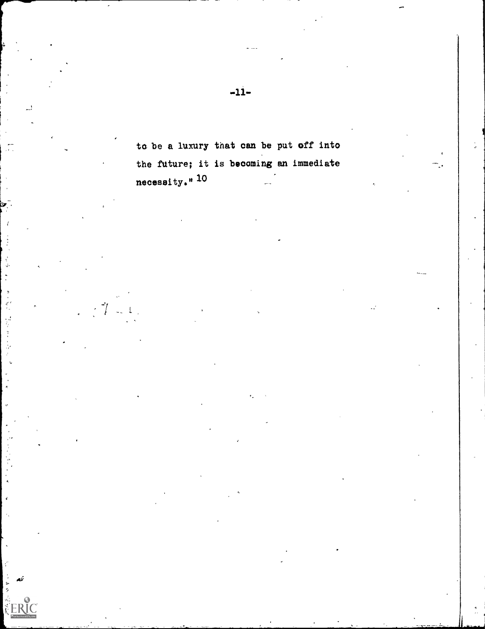to be a luxury that can be put off into the future; it is becoming an immediate necessity." 10

 $\frac{q^{\ell-1}}{\ell}$ 

学生

 $\frac{1}{2}$ 

تىم

 $\gamma$ 

 $\mathbf{I}$  $\mathbb{R}^2$ 

 $-11-$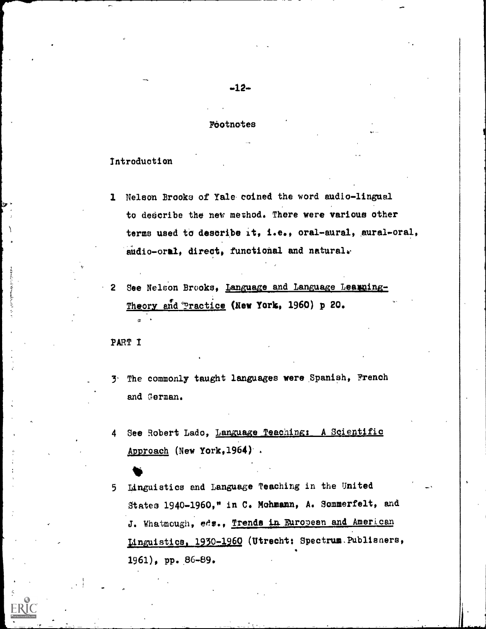#### Footnotes

#### Introduction

- 1 Nelson Brooks of Yale. coined the word audio-lingual to dederibe the new method. There were various other terms used to describe it, i.e., oral-aural, aural-oral, audio-oral, direct, functional and natural.
- 2 See Nelson Brooks, Language and Language Learning-Theory and Practice (New York, 1960) p 20.

PART I

- 3- The commonly taught languages were Spanish, French and German.
- 4 See Robert Lado, Language Teaching: A Scientific Approach (New York,1964)
- <sup>5</sup> Linguistics and Language Teaching in the United States 1940-1960," in C. Mohmann, A. Sommerfelt, and J. Whatmough, eds., Trends in European and American Linguistics, 1930-1960 (Utrecht: Spectrum. Publisners, 1961), pp..86-89.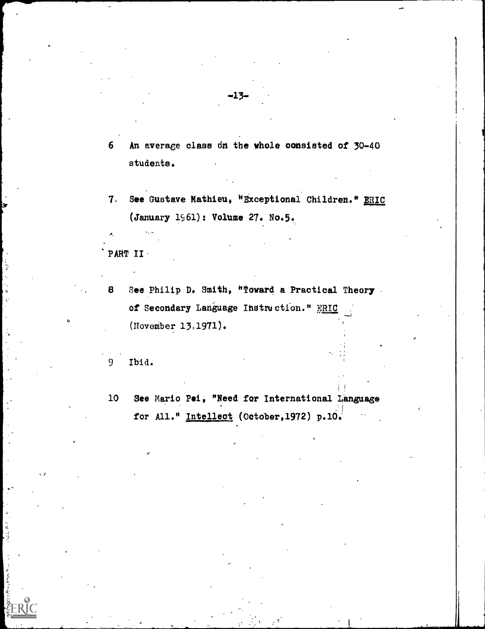6 An average class 6n the whole consisted of 30-40 students.

-13-

See Gustave Mathieu, "Exceptional Children." ERIC  $7.$ (January 1961): Volume 27. No.5.

PART II

8 See Philip D. Smith, "Toward a Practical Theory. of Secondary Language Instruction." **HRIC** (November 13,1971).

9 Ibid.

10 See Mario Pei, "Need for International Language for All." Intellect (October, 1972) p.10.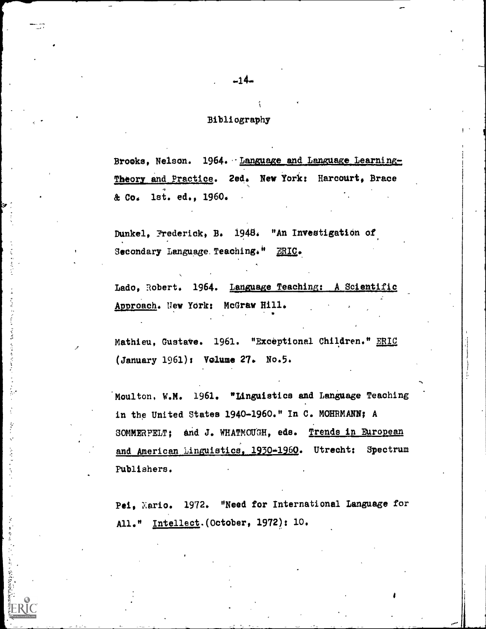#### Bibliography

Brooks, Nelson. 1964. Language and Language Learning-Theory and Practice. 2ed. New York: Harcourt, Brace & Co. 1st. ed., 1960.

Dunkel, Frederick, B. 1940. "An Investigation of Secondary Language. Teaching." ERIC.

Lado, Robert. 1964. Language Teaching: A Scientific Approach. New York: McGraw Hill. .

Mathieu, Gustave. 1961. "Exceptional Children." ERIC (January 1961): Volume 27. No.5.

Moulton. W.M. 1961. "Linguistics and Language Teaching in the United States 1940-1960." In C. MOHRMANN; A SOMMERFELT; and J. WHATMOUGH, eds. Trends in European and American Linguistics, 1930-1960. Utrecht: Spectrum Publishers.

Pei, Xario. 1972. "Need for International Language for All." Intellect.(October, 1972): 10.

 $-14-$